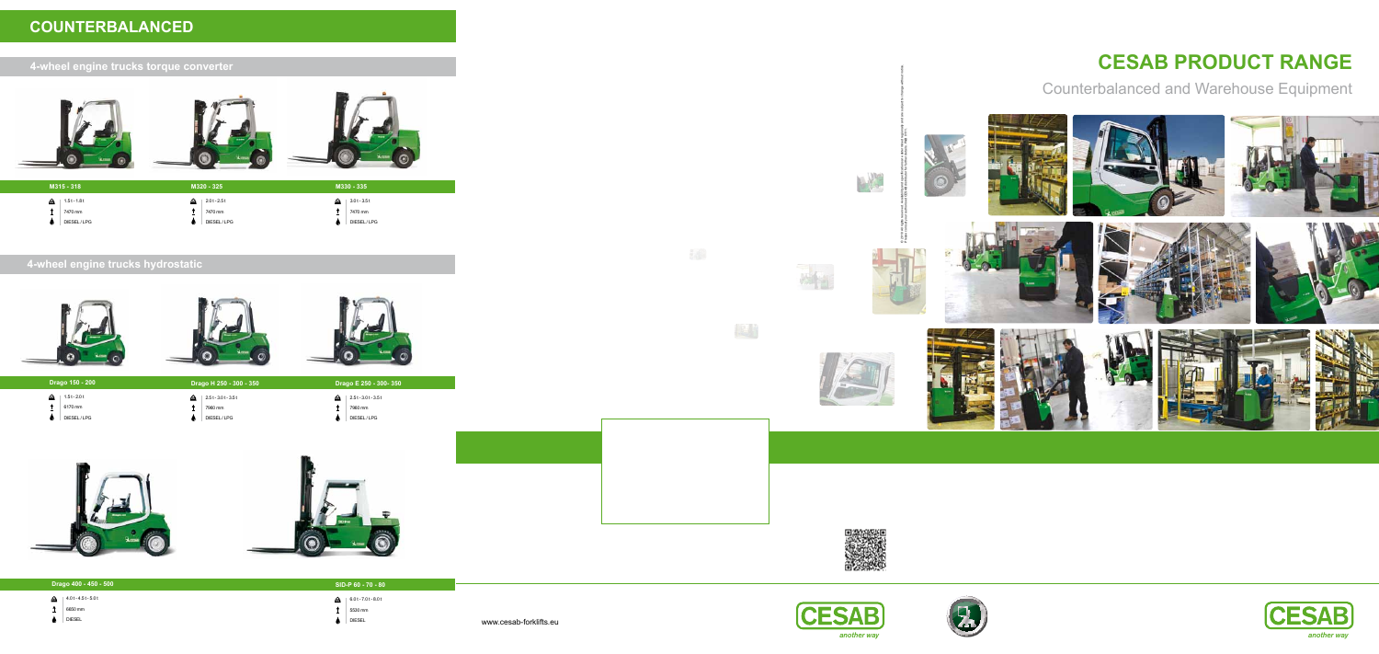### **4-wheel engine trucks hydrostatic**







#### **4-wheel engine trucks torque converter**



## **COUNTERBALANCED**







**Drago H 250 - 300 - 350** 2.5 t - 3.0 t - 3.5 t **KG KG KG**  $\uparrow$  7960 mm

 $\bigcirc$  DIESEL/LPG

- 
- **Drago E 250 300- 350**  $\bigodot$  | 2.5 t - 3.0 t - 3.5 t
- $\uparrow$  7960 mm  $\bigcirc$  DIESEL/LPG







#### **Drago 400 - 450 - 500** 4.0 t - 4.5 t - 5.0 t **KG**  $\uparrow$  6650 mm **SID-P 60 - 70 - 80** 6.0 t - 7.0 t - 8.0 t **KG**  $\uparrow$  5530 mm

- 
- $\bigcirc$  DIESEL

|   | M315 - 318               |                  | M320 - 325               |    | M330 - 335               |
|---|--------------------------|------------------|--------------------------|----|--------------------------|
| £ | $1.5t - 1.8t$<br>7470 mm | <b>I</b> xe<br>- | $2.0t - 2.5t$<br>7470 mm | fæ | $3.0t - 3.5t$<br>7470 mm |
|   | DIESEL/LPG               |                  | DIESEL/LPG               |    | DIESEL/LPG               |

| Drago 150 - 200 |  |
|-----------------|--|
|                 |  |
|                 |  |
|                 |  |

- $\frac{1}{2}$  | 1.5 t 2.0 t
- $\uparrow$  6170 mm
- $\bigcirc$  DIESEL/LPG

 $\bigcirc$  DIESEL